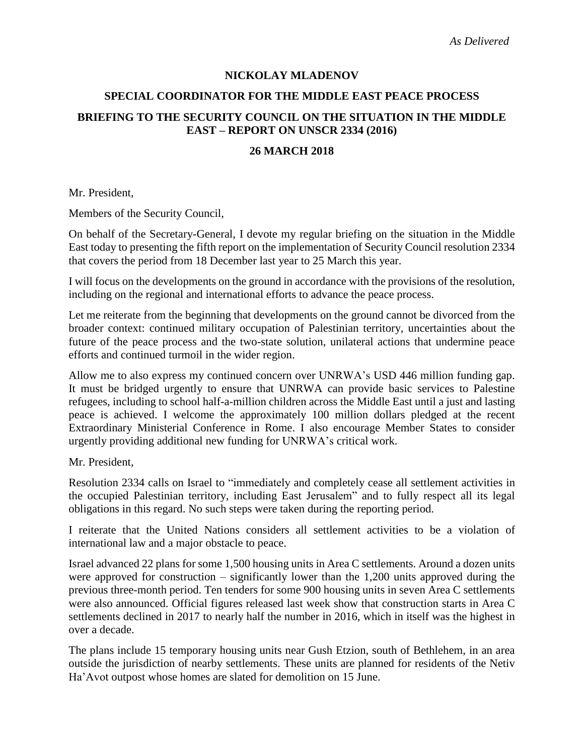### **NICKOLAY MLADENOV**

#### **SPECIAL COORDINATOR FOR THE MIDDLE EAST PEACE PROCESS**

# **BRIEFING TO THE SECURITY COUNCIL ON THE SITUATION IN THE MIDDLE EAST – REPORT ON UNSCR 2334 (2016)**

#### **26 MARCH 2018**

Mr. President,

Members of the Security Council,

On behalf of the Secretary-General, I devote my regular briefing on the situation in the Middle East today to presenting the fifth report on the implementation of Security Council resolution 2334 that covers the period from 18 December last year to 25 March this year.

I will focus on the developments on the ground in accordance with the provisions of the resolution, including on the regional and international efforts to advance the peace process.

Let me reiterate from the beginning that developments on the ground cannot be divorced from the broader context: continued military occupation of Palestinian territory, uncertainties about the future of the peace process and the two-state solution, unilateral actions that undermine peace efforts and continued turmoil in the wider region.

Allow me to also express my continued concern over UNRWA's USD 446 million funding gap. It must be bridged urgently to ensure that UNRWA can provide basic services to Palestine refugees, including to school half-a-million children across the Middle East until a just and lasting peace is achieved. I welcome the approximately 100 million dollars pledged at the recent Extraordinary Ministerial Conference in Rome. I also encourage Member States to consider urgently providing additional new funding for UNRWA's critical work.

Mr. President,

Resolution 2334 calls on Israel to "immediately and completely cease all settlement activities in the occupied Palestinian territory, including East Jerusalem" and to fully respect all its legal obligations in this regard. No such steps were taken during the reporting period.

I reiterate that the United Nations considers all settlement activities to be a violation of international law and a major obstacle to peace.

Israel advanced 22 plans for some 1,500 housing units in Area C settlements. Around a dozen units were approved for construction – significantly lower than the 1,200 units approved during the previous three-month period. Ten tenders for some 900 housing units in seven Area C settlements were also announced. Official figures released last week show that construction starts in Area C settlements declined in 2017 to nearly half the number in 2016, which in itself was the highest in over a decade.

The plans include 15 temporary housing units near Gush Etzion, south of Bethlehem, in an area outside the jurisdiction of nearby settlements. These units are planned for residents of the Netiv Ha'Avot outpost whose homes are slated for demolition on 15 June.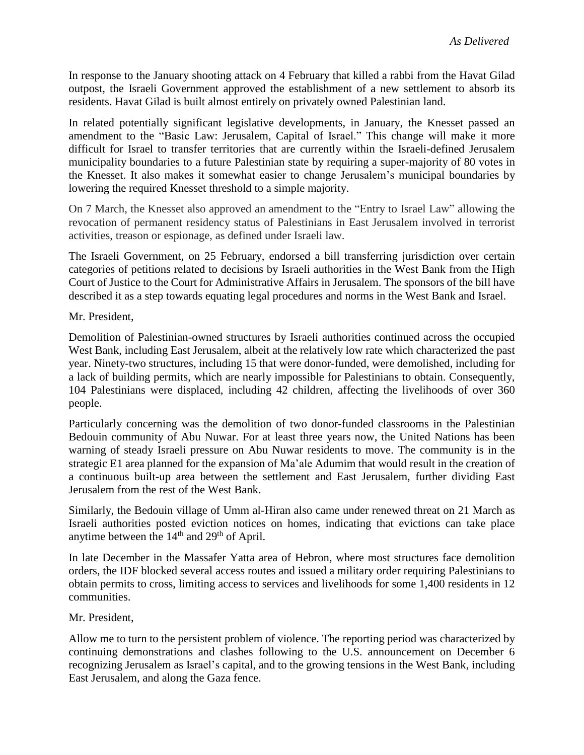In response to the January shooting attack on 4 February that killed a rabbi from the Havat Gilad outpost, the Israeli Government approved the establishment of a new settlement to absorb its residents. Havat Gilad is built almost entirely on privately owned Palestinian land.

In related potentially significant legislative developments, in January, the Knesset passed an amendment to the "Basic Law: Jerusalem, Capital of Israel." This change will make it more difficult for Israel to transfer territories that are currently within the Israeli-defined Jerusalem municipality boundaries to a future Palestinian state by requiring a super-majority of 80 votes in the Knesset. It also makes it somewhat easier to change Jerusalem's municipal boundaries by lowering the required Knesset threshold to a simple majority.

On 7 March, the Knesset also approved an amendment to the "Entry to Israel Law" allowing the revocation of permanent residency status of Palestinians in East Jerusalem involved in terrorist activities, treason or espionage, as defined under Israeli law.

The Israeli Government, on 25 February, endorsed a bill transferring jurisdiction over certain categories of petitions related to decisions by Israeli authorities in the West Bank from the High Court of Justice to the Court for Administrative Affairs in Jerusalem. The sponsors of the bill have described it as a step towards equating legal procedures and norms in the West Bank and Israel.

Mr. President,

Demolition of Palestinian-owned structures by Israeli authorities continued across the occupied West Bank, including East Jerusalem, albeit at the relatively low rate which characterized the past year. Ninety-two structures, including 15 that were donor-funded, were demolished, including for a lack of building permits, which are nearly impossible for Palestinians to obtain. Consequently, 104 Palestinians were displaced, including 42 children, affecting the livelihoods of over 360 people.

Particularly concerning was the demolition of two donor-funded classrooms in the Palestinian Bedouin community of Abu Nuwar. For at least three years now, the United Nations has been warning of steady Israeli pressure on Abu Nuwar residents to move. The community is in the strategic E1 area planned for the expansion of Ma'ale Adumim that would result in the creation of a continuous built-up area between the settlement and East Jerusalem, further dividing East Jerusalem from the rest of the West Bank.

Similarly, the Bedouin village of Umm al-Hiran also came under renewed threat on 21 March as Israeli authorities posted eviction notices on homes, indicating that evictions can take place anytime between the  $14<sup>th</sup>$  and  $29<sup>th</sup>$  of April.

In late December in the Massafer Yatta area of Hebron, where most structures face demolition orders, the IDF blocked several access routes and issued a military order requiring Palestinians to obtain permits to cross, limiting access to services and livelihoods for some 1,400 residents in 12 communities.

Mr. President,

Allow me to turn to the persistent problem of violence. The reporting period was characterized by continuing demonstrations and clashes following to the U.S. announcement on December 6 recognizing Jerusalem as Israel's capital, and to the growing tensions in the West Bank, including East Jerusalem, and along the Gaza fence.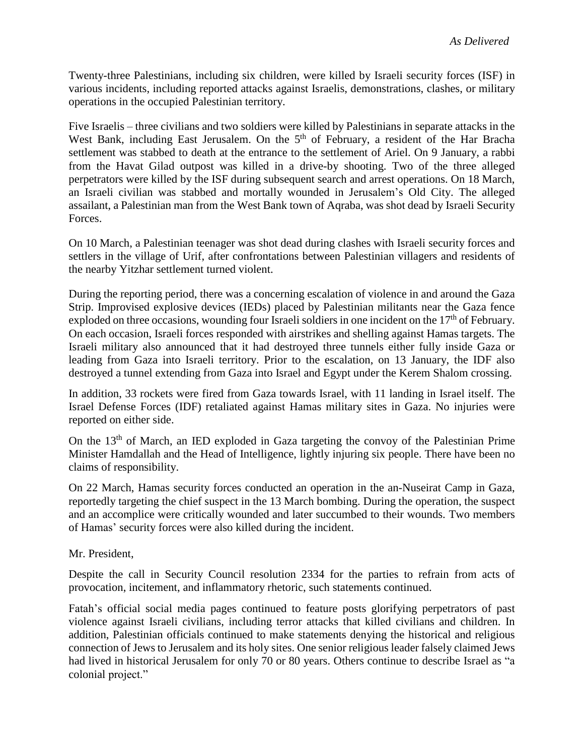Twenty-three Palestinians, including six children, were killed by Israeli security forces (ISF) in various incidents, including reported attacks against Israelis, demonstrations, clashes, or military operations in the occupied Palestinian territory.

Five Israelis – three civilians and two soldiers were killed by Palestinians in separate attacks in the West Bank, including East Jerusalem. On the 5<sup>th</sup> of February, a resident of the Har Bracha settlement was stabbed to death at the entrance to the settlement of Ariel. On 9 January, a rabbi from the Havat Gilad outpost was killed in a drive-by shooting. Two of the three alleged perpetrators were killed by the ISF during subsequent search and arrest operations. On 18 March, an Israeli civilian was stabbed and mortally wounded in Jerusalem's Old City. The alleged assailant, a Palestinian man from the West Bank town of Aqraba, was shot dead by Israeli Security Forces.

On 10 March, a Palestinian teenager was shot dead during clashes with Israeli security forces and settlers in the village of Urif, after confrontations between Palestinian villagers and residents of the nearby Yitzhar settlement turned violent.

During the reporting period, there was a concerning escalation of violence in and around the Gaza Strip. Improvised explosive devices (IEDs) placed by Palestinian militants near the Gaza fence exploded on three occasions, wounding four Israeli soldiers in one incident on the  $17<sup>th</sup>$  of February. On each occasion, Israeli forces responded with airstrikes and shelling against Hamas targets. The Israeli military also announced that it had destroyed three tunnels either fully inside Gaza or leading from Gaza into Israeli territory. Prior to the escalation, on 13 January, the IDF also destroyed a tunnel extending from Gaza into Israel and Egypt under the Kerem Shalom crossing.

In addition, 33 rockets were fired from Gaza towards Israel, with 11 landing in Israel itself. The Israel Defense Forces (IDF) retaliated against Hamas military sites in Gaza. No injuries were reported on either side.

On the 13<sup>th</sup> of March, an IED exploded in Gaza targeting the convoy of the Palestinian Prime Minister Hamdallah and the Head of Intelligence, lightly injuring six people. There have been no claims of responsibility.

On 22 March, Hamas security forces conducted an operation in the an-Nuseirat Camp in Gaza, reportedly targeting the chief suspect in the 13 March bombing. During the operation, the suspect and an accomplice were critically wounded and later succumbed to their wounds. Two members of Hamas' security forces were also killed during the incident.

Mr. President,

Despite the call in Security Council resolution 2334 for the parties to refrain from acts of provocation, incitement, and inflammatory rhetoric, such statements continued.

Fatah's official social media pages continued to feature posts glorifying perpetrators of past violence against Israeli civilians, including terror attacks that killed civilians and children. In addition, Palestinian officials continued to make statements denying the historical and religious connection of Jews to Jerusalem and its holy sites. One senior religious leader falsely claimed Jews had lived in historical Jerusalem for only 70 or 80 years. Others continue to describe Israel as "a colonial project."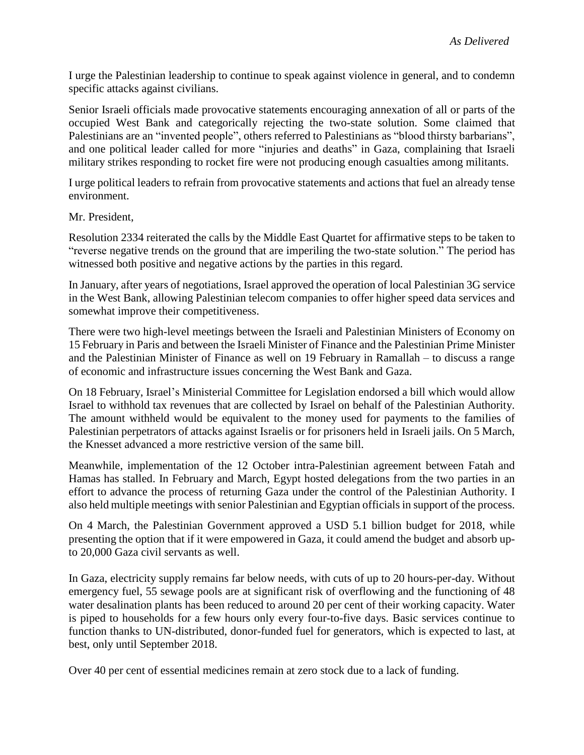I urge the Palestinian leadership to continue to speak against violence in general, and to condemn specific attacks against civilians.

Senior Israeli officials made provocative statements encouraging annexation of all or parts of the occupied West Bank and categorically rejecting the two-state solution. Some claimed that Palestinians are an "invented people", others referred to Palestinians as "blood thirsty barbarians", and one political leader called for more "injuries and deaths" in Gaza, complaining that Israeli military strikes responding to rocket fire were not producing enough casualties among militants.

I urge political leaders to refrain from provocative statements and actions that fuel an already tense environment.

#### Mr. President,

Resolution 2334 reiterated the calls by the Middle East Quartet for affirmative steps to be taken to "reverse negative trends on the ground that are imperiling the two-state solution." The period has witnessed both positive and negative actions by the parties in this regard.

In January, after years of negotiations, Israel approved the operation of local Palestinian 3G service in the West Bank, allowing Palestinian telecom companies to offer higher speed data services and somewhat improve their competitiveness.

There were two high-level meetings between the Israeli and Palestinian Ministers of Economy on 15 February in Paris and between the Israeli Minister of Finance and the Palestinian Prime Minister and the Palestinian Minister of Finance as well on 19 February in Ramallah – to discuss a range of economic and infrastructure issues concerning the West Bank and Gaza.

On 18 February, Israel's Ministerial Committee for Legislation endorsed a bill which would allow Israel to withhold tax revenues that are collected by Israel on behalf of the Palestinian Authority. The amount withheld would be equivalent to the money used for payments to the families of Palestinian perpetrators of attacks against Israelis or for prisoners held in Israeli jails. On 5 March, the Knesset advanced a more restrictive version of the same bill.

Meanwhile, implementation of the 12 October intra-Palestinian agreement between Fatah and Hamas has stalled. In February and March, Egypt hosted delegations from the two parties in an effort to advance the process of returning Gaza under the control of the Palestinian Authority. I also held multiple meetings with senior Palestinian and Egyptian officials in support of the process.

On 4 March, the Palestinian Government approved a USD 5.1 billion budget for 2018, while presenting the option that if it were empowered in Gaza, it could amend the budget and absorb upto 20,000 Gaza civil servants as well.

In Gaza, electricity supply remains far below needs, with cuts of up to 20 hours-per-day. Without emergency fuel, 55 sewage pools are at significant risk of overflowing and the functioning of 48 water desalination plants has been reduced to around 20 per cent of their working capacity. Water is piped to households for a few hours only every four-to-five days. Basic services continue to function thanks to UN-distributed, donor-funded fuel for generators, which is expected to last, at best, only until September 2018.

Over 40 per cent of essential medicines remain at zero stock due to a lack of funding.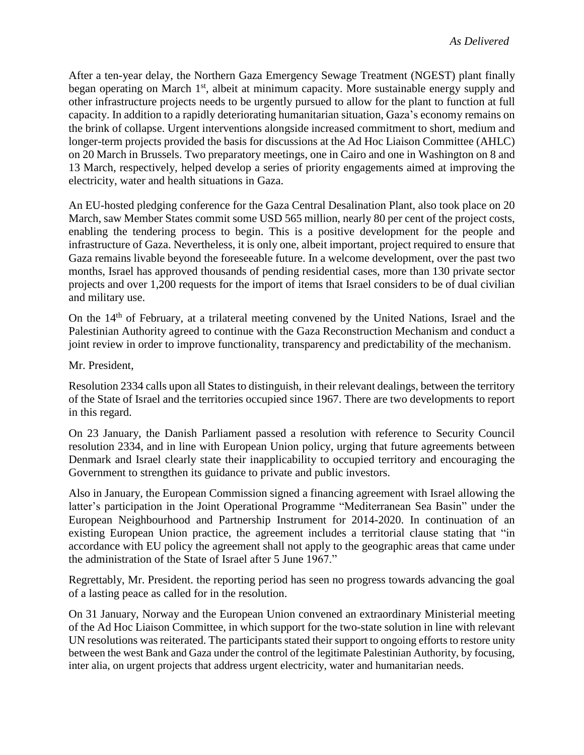After a ten-year delay, the Northern Gaza Emergency Sewage Treatment (NGEST) plant finally began operating on March 1<sup>st</sup>, albeit at minimum capacity. More sustainable energy supply and other infrastructure projects needs to be urgently pursued to allow for the plant to function at full capacity. In addition to a rapidly deteriorating humanitarian situation, Gaza's economy remains on the brink of collapse. Urgent interventions alongside increased commitment to short, medium and longer-term projects provided the basis for discussions at the Ad Hoc Liaison Committee (AHLC) on 20 March in Brussels. Two preparatory meetings, one in Cairo and one in Washington on 8 and 13 March, respectively, helped develop a series of priority engagements aimed at improving the electricity, water and health situations in Gaza.

An EU-hosted pledging conference for the Gaza Central Desalination Plant, also took place on 20 March, saw Member States commit some USD 565 million, nearly 80 per cent of the project costs, enabling the tendering process to begin. This is a positive development for the people and infrastructure of Gaza. Nevertheless, it is only one, albeit important, project required to ensure that Gaza remains livable beyond the foreseeable future. In a welcome development, over the past two months, Israel has approved thousands of pending residential cases, more than 130 private sector projects and over 1,200 requests for the import of items that Israel considers to be of dual civilian and military use.

On the 14<sup>th</sup> of February, at a trilateral meeting convened by the United Nations, Israel and the Palestinian Authority agreed to continue with the Gaza Reconstruction Mechanism and conduct a joint review in order to improve functionality, transparency and predictability of the mechanism.

Mr. President,

Resolution 2334 calls upon all States to distinguish, in their relevant dealings, between the territory of the State of Israel and the territories occupied since 1967. There are two developments to report in this regard.

On 23 January, the Danish Parliament passed a resolution with reference to Security Council resolution 2334, and in line with European Union policy, urging that future agreements between Denmark and Israel clearly state their inapplicability to occupied territory and encouraging the Government to strengthen its guidance to private and public investors.

Also in January, the European Commission signed a financing agreement with Israel allowing the latter's participation in the Joint Operational Programme "Mediterranean Sea Basin" under the European Neighbourhood and Partnership Instrument for 2014-2020. In continuation of an existing European Union practice, the agreement includes a territorial clause stating that "in accordance with EU policy the agreement shall not apply to the geographic areas that came under the administration of the State of Israel after 5 June 1967."

Regrettably, Mr. President. the reporting period has seen no progress towards advancing the goal of a lasting peace as called for in the resolution.

On 31 January, Norway and the European Union convened an extraordinary Ministerial meeting of the Ad Hoc Liaison Committee, in which support for the two-state solution in line with relevant UN resolutions was reiterated. The participants stated their support to ongoing efforts to restore unity between the west Bank and Gaza under the control of the legitimate Palestinian Authority, by focusing, inter alia, on urgent projects that address urgent electricity, water and humanitarian needs.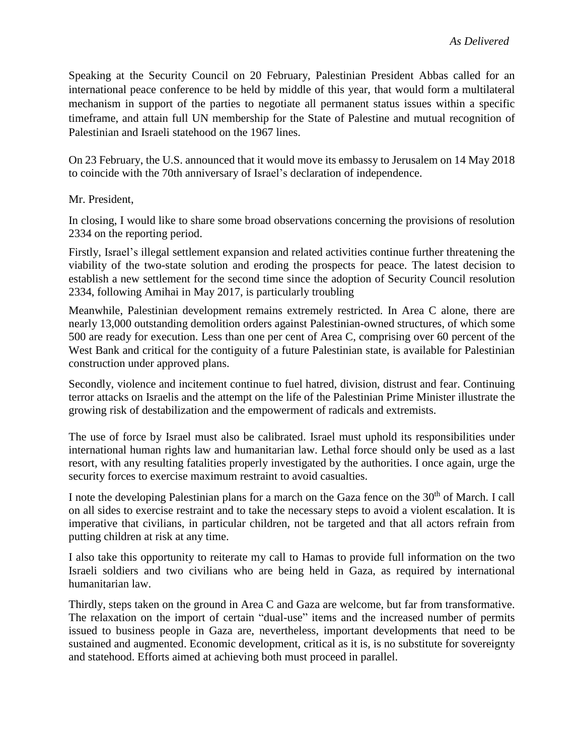Speaking at the Security Council on 20 February, Palestinian President Abbas called for an international peace conference to be held by middle of this year, that would form a multilateral mechanism in support of the parties to negotiate all permanent status issues within a specific timeframe, and attain full UN membership for the State of Palestine and mutual recognition of Palestinian and Israeli statehood on the 1967 lines.

On 23 February, the U.S. announced that it would move its embassy to Jerusalem on 14 May 2018 to coincide with the 70th anniversary of Israel's declaration of independence.

Mr. President,

In closing, I would like to share some broad observations concerning the provisions of resolution 2334 on the reporting period.

Firstly, Israel's illegal settlement expansion and related activities continue further threatening the viability of the two-state solution and eroding the prospects for peace. The latest decision to establish a new settlement for the second time since the adoption of Security Council resolution 2334, following Amihai in May 2017, is particularly troubling

Meanwhile, Palestinian development remains extremely restricted. In Area C alone, there are nearly 13,000 outstanding demolition orders against Palestinian-owned structures, of which some 500 are ready for execution. Less than one per cent of Area C, comprising over 60 percent of the West Bank and critical for the contiguity of a future Palestinian state, is available for Palestinian construction under approved plans.

Secondly, violence and incitement continue to fuel hatred, division, distrust and fear. Continuing terror attacks on Israelis and the attempt on the life of the Palestinian Prime Minister illustrate the growing risk of destabilization and the empowerment of radicals and extremists.

The use of force by Israel must also be calibrated. Israel must uphold its responsibilities under international human rights law and humanitarian law. Lethal force should only be used as a last resort, with any resulting fatalities properly investigated by the authorities. I once again, urge the security forces to exercise maximum restraint to avoid casualties.

I note the developing Palestinian plans for a march on the Gaza fence on the 30<sup>th</sup> of March. I call on all sides to exercise restraint and to take the necessary steps to avoid a violent escalation. It is imperative that civilians, in particular children, not be targeted and that all actors refrain from putting children at risk at any time.

I also take this opportunity to reiterate my call to Hamas to provide full information on the two Israeli soldiers and two civilians who are being held in Gaza, as required by international humanitarian law.

Thirdly, steps taken on the ground in Area C and Gaza are welcome, but far from transformative. The relaxation on the import of certain "dual-use" items and the increased number of permits issued to business people in Gaza are, nevertheless, important developments that need to be sustained and augmented. Economic development, critical as it is, is no substitute for sovereignty and statehood. Efforts aimed at achieving both must proceed in parallel.